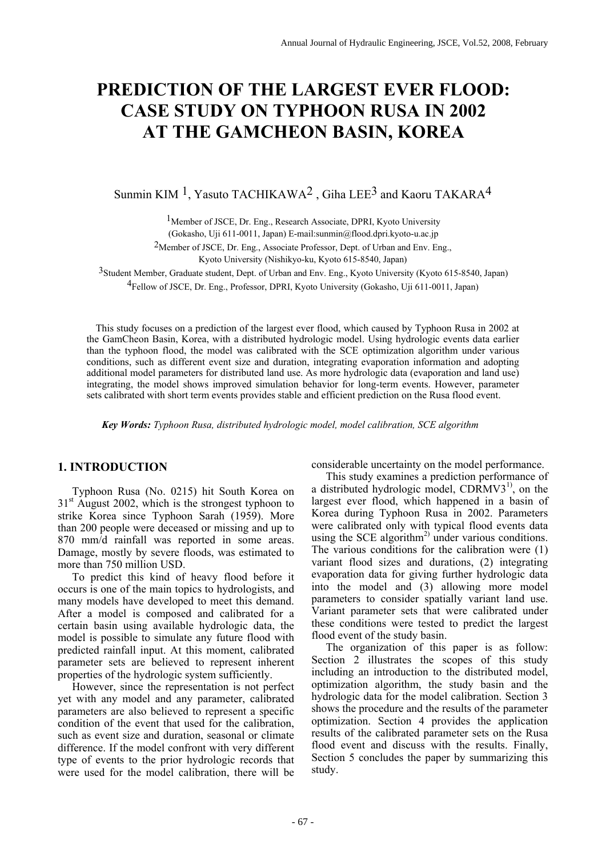# **PREDICTION OF THE LARGEST EVER FLOOD: CASE STUDY ON TYPHOON RUSA IN 2002 AT THE GAMCHEON BASIN, KOREA**

Sunmin KIM <sup>1</sup>, Yasuto TACHIKAWA<sup>2</sup>, Giha LEE<sup>3</sup> and Kaoru TAKARA<sup>4</sup>

1Member of JSCE, Dr. Eng., Research Associate, DPRI, Kyoto University

(Gokasho, Uji 611-0011, Japan) E-mail:sunmin@flood.dpri.kyoto-u.ac.jp

2Member of JSCE, Dr. Eng., Associate Professor, Dept. of Urban and Env. Eng.,

Kyoto University (Nishikyo-ku, Kyoto 615-8540, Japan)

3Student Member, Graduate student, Dept. of Urban and Env. Eng., Kyoto University (Kyoto 615-8540, Japan)

4Fellow of JSCE, Dr. Eng., Professor, DPRI, Kyoto University (Gokasho, Uji 611-0011, Japan)

This study focuses on a prediction of the largest ever flood, which caused by Typhoon Rusa in 2002 at the GamCheon Basin, Korea, with a distributed hydrologic model. Using hydrologic events data earlier than the typhoon flood, the model was calibrated with the SCE optimization algorithm under various conditions, such as different event size and duration, integrating evaporation information and adopting additional model parameters for distributed land use. As more hydrologic data (evaporation and land use) integrating, the model shows improved simulation behavior for long-term events. However, parameter sets calibrated with short term events provides stable and efficient prediction on the Rusa flood event.

 *Key Words: Typhoon Rusa, distributed hydrologic model, model calibration, SCE algorithm* 

# **1. INTRODUCTION**

Typhoon Rusa (No. 0215) hit South Korea on  $31<sup>st</sup>$  August 2002, which is the strongest typhoon to strike Korea since Typhoon Sarah (1959). More than 200 people were deceased or missing and up to 870 mm/d rainfall was reported in some areas. Damage, mostly by severe floods, was estimated to more than 750 million USD.

To predict this kind of heavy flood before it occurs is one of the main topics to hydrologists, and many models have developed to meet this demand. After a model is composed and calibrated for a certain basin using available hydrologic data, the model is possible to simulate any future flood with predicted rainfall input. At this moment, calibrated parameter sets are believed to represent inherent properties of the hydrologic system sufficiently.

However, since the representation is not perfect yet with any model and any parameter, calibrated parameters are also believed to represent a specific condition of the event that used for the calibration, such as event size and duration, seasonal or climate difference. If the model confront with very different type of events to the prior hydrologic records that were used for the model calibration, there will be

considerable uncertainty on the model performance.

This study examines a prediction performance of a distributed hydrologic model,  $CDRMV3<sup>1</sup>$ , on the largest ever flood, which happened in a basin of Korea during Typhoon Rusa in 2002. Parameters were calibrated only with typical flood events data using the SCE algorithm<sup>2)</sup> under various conditions. The various conditions for the calibration were (1) variant flood sizes and durations, (2) integrating evaporation data for giving further hydrologic data into the model and (3) allowing more model parameters to consider spatially variant land use. Variant parameter sets that were calibrated under these conditions were tested to predict the largest flood event of the study basin.

The organization of this paper is as follow: Section 2 illustrates the scopes of this study including an introduction to the distributed model, optimization algorithm, the study basin and the hydrologic data for the model calibration. Section 3 shows the procedure and the results of the parameter optimization. Section 4 provides the application results of the calibrated parameter sets on the Rusa flood event and discuss with the results. Finally, Section 5 concludes the paper by summarizing this study.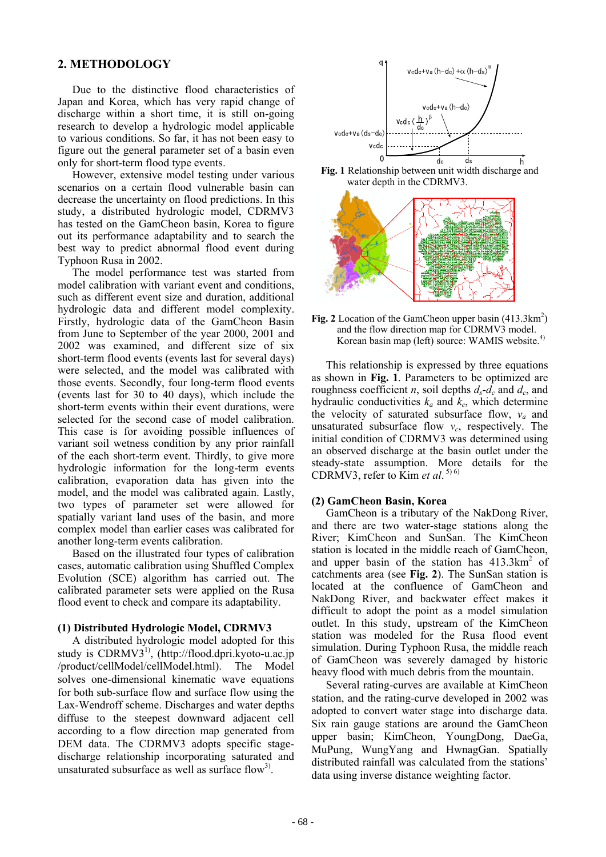## **2. METHODOLOGY**

Due to the distinctive flood characteristics of Japan and Korea, which has very rapid change of discharge within a short time, it is still on-going research to develop a hydrologic model applicable to various conditions. So far, it has not been easy to figure out the general parameter set of a basin even only for short-term flood type events.

However, extensive model testing under various scenarios on a certain flood vulnerable basin can decrease the uncertainty on flood predictions. In this study, a distributed hydrologic model, CDRMV3 has tested on the GamCheon basin, Korea to figure out its performance adaptability and to search the best way to predict abnormal flood event during Typhoon Rusa in 2002.

The model performance test was started from model calibration with variant event and conditions, such as different event size and duration, additional hydrologic data and different model complexity. Firstly, hydrologic data of the GamCheon Basin from June to September of the year 2000, 2001 and 2002 was examined, and different size of six short-term flood events (events last for several days) were selected, and the model was calibrated with those events. Secondly, four long-term flood events (events last for 30 to 40 days), which include the short-term events within their event durations, were selected for the second case of model calibration. This case is for avoiding possible influences of variant soil wetness condition by any prior rainfall of the each short-term event. Thirdly, to give more hydrologic information for the long-term events calibration, evaporation data has given into the model, and the model was calibrated again. Lastly, two types of parameter set were allowed for spatially variant land uses of the basin, and more complex model than earlier cases was calibrated for another long-term events calibration.

Based on the illustrated four types of calibration cases, automatic calibration using Shuffled Complex Evolution (SCE) algorithm has carried out. The calibrated parameter sets were applied on the Rusa flood event to check and compare its adaptability.

## **(1) Distributed Hydrologic Model, CDRMV3**

A distributed hydrologic model adopted for this study is  $CDRMV3<sup>[1]</sup>$ , (http://flood.dpri.kyoto-u.ac.jp /product/cellModel/cellModel.html). The Model solves one-dimensional kinematic wave equations for both sub-surface flow and surface flow using the Lax-Wendroff scheme. Discharges and water depths diffuse to the steepest downward adjacent cell according to a flow direction map generated from DEM data. The CDRMV3 adopts specific stagedischarge relationship incorporating saturated and unsaturated subsurface as well as surface flow<sup>3)</sup>.







Fig. 2 Location of the GamCheon upper basin (413.3km<sup>2</sup>) and the flow direction map for CDRMV3 model. Korean basin map (left) source: WAMIS website.<sup>4)</sup>

This relationship is expressed by three equations as shown in **Fig. 1**. Parameters to be optimized are roughness coefficient *n*, soil depths  $d_s - d_c$  and  $d_c$ , and hydraulic conductivities  $k_a$  and  $k_c$ , which determine the velocity of saturated subsurface flow,  $v_a$  and unsaturated subsurface flow  $v_c$ , respectively. The initial condition of CDRMV3 was determined using an observed discharge at the basin outlet under the steady-state assumption. More details for the CDRMV3, refer to  $\text{Kim } et \text{ } al.^{5) \, 6}$ 

## **(2) GamCheon Basin, Korea**

GamCheon is a tributary of the NakDong River, and there are two water-stage stations along the River; KimCheon and SunSan. The KimCheon station is located in the middle reach of GamCheon, and upper basin of the station has  $413.3 \text{km}^2$  of catchments area (see **Fig. 2**). The SunSan station is located at the confluence of GamCheon and NakDong River, and backwater effect makes it difficult to adopt the point as a model simulation outlet. In this study, upstream of the KimCheon station was modeled for the Rusa flood event simulation. During Typhoon Rusa, the middle reach of GamCheon was severely damaged by historic heavy flood with much debris from the mountain.

Several rating-curves are available at KimCheon station, and the rating-curve developed in 2002 was adopted to convert water stage into discharge data. Six rain gauge stations are around the GamCheon upper basin; KimCheon, YoungDong, DaeGa, MuPung, WungYang and HwnagGan. Spatially distributed rainfall was calculated from the stations' data using inverse distance weighting factor.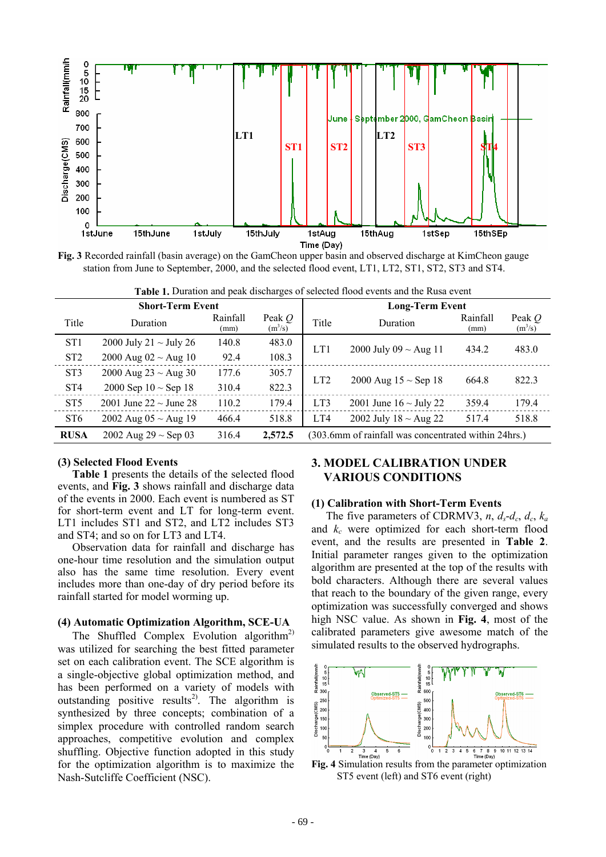

**Fig. 3** Recorded rainfall (basin average) on the GamCheon upper basin and observed discharge at KimCheon gauge station from June to September, 2000, and the selected flood event, LT1, LT2, ST1, ST2, ST3 and ST4.

| <b>Table 1.</b> Duration and peak discharges or sciected flood events and the Kusa event |                             |                  |                       |                                                      |                             |                  |                                 |  |
|------------------------------------------------------------------------------------------|-----------------------------|------------------|-----------------------|------------------------------------------------------|-----------------------------|------------------|---------------------------------|--|
| <b>Short-Term Event</b>                                                                  |                             |                  |                       | <b>Long-Term Event</b>                               |                             |                  |                                 |  |
| Title                                                                                    | Duration                    | Rainfall<br>(mm) | Peak $Q$<br>$(m^3/s)$ | Title                                                | Duration                    | Rainfall<br>(mm) | Peak $Q$<br>(m <sup>3</sup> /s) |  |
| ST <sub>1</sub>                                                                          | 2000 July 21 $\sim$ July 26 | 140.8            | 483.0                 | LT1                                                  | 2000 July 09 ~ Aug 11       | 434.2            | 483.0                           |  |
| ST <sub>2</sub>                                                                          | 2000 Aug 02 ~ Aug 10        | 92.4             | 108.3                 |                                                      |                             |                  |                                 |  |
| ST <sub>3</sub>                                                                          | 2000 Aug 23 ~ Aug 30        | 177.6            | 305.7                 | LT <sub>2</sub>                                      | 2000 Aug $15 \sim$ Sep 18   | 664.8            | 822.3                           |  |
| ST <sub>4</sub>                                                                          | 2000 Sep $10 \sim$ Sep 18   | 310.4            | 822.3                 |                                                      |                             |                  |                                 |  |
| ST <sub>5</sub>                                                                          | 2001 June 22 $\sim$ June 28 | 110.2            | 179.4                 | LT3                                                  | 2001 June $16 \sim$ July 22 | 359.4            | 179.4                           |  |
| ST <sub>6</sub>                                                                          | 2002 Aug 05 ~ Aug 19        | 466.4            | 518.8                 | LT4                                                  | 2002 July $18 \sim$ Aug 22  | 517.4            | 518.8                           |  |
| <b>RUSA</b>                                                                              | 2002 Aug 29 $\sim$ Sep 03   | 316.4            | 2,572.5               | (303.6mm of rainfall was concentrated within 24hrs.) |                             |                  |                                 |  |

**Table 1.** Duration and peak discharges of selected flood events and the Rusa event

#### **(3) Selected Flood Events**

**Table 1** presents the details of the selected flood events, and **Fig. 3** shows rainfall and discharge data of the events in 2000. Each event is numbered as ST for short-term event and LT for long-term event. LT1 includes ST1 and ST2, and LT2 includes ST3 and ST4; and so on for LT3 and LT4.

Observation data for rainfall and discharge has one-hour time resolution and the simulation output also has the same time resolution. Every event includes more than one-day of dry period before its rainfall started for model worming up.

#### **(4) Automatic Optimization Algorithm, SCE-UA**

The Shuffled Complex Evolution algorithm<sup>2)</sup> was utilized for searching the best fitted parameter set on each calibration event. The SCE algorithm is a single-objective global optimization method, and has been performed on a variety of models with outstanding positive results<sup>2)</sup>. The algorithm is synthesized by three concepts; combination of a simplex procedure with controlled random search approaches, competitive evolution and complex shuffling. Objective function adopted in this study for the optimization algorithm is to maximize the Nash-Sutcliffe Coefficient (NSC).

## **3. MODEL CALIBRATION UNDER VARIOUS CONDITIONS**

#### **(1) Calibration with Short-Term Events**

The five parameters of CDRMV3, *n*,  $d_s$ - $d_c$ ,  $d_c$ ,  $k_a$ and  $k_c$  were optimized for each short-term flood event, and the results are presented in **Table 2**. Initial parameter ranges given to the optimization algorithm are presented at the top of the results with bold characters. Although there are several values that reach to the boundary of the given range, every optimization was successfully converged and shows high NSC value. As shown in **Fig. 4**, most of the calibrated parameters give awesome match of the simulated results to the observed hydrographs.



ST5 event (left) and ST6 event (right)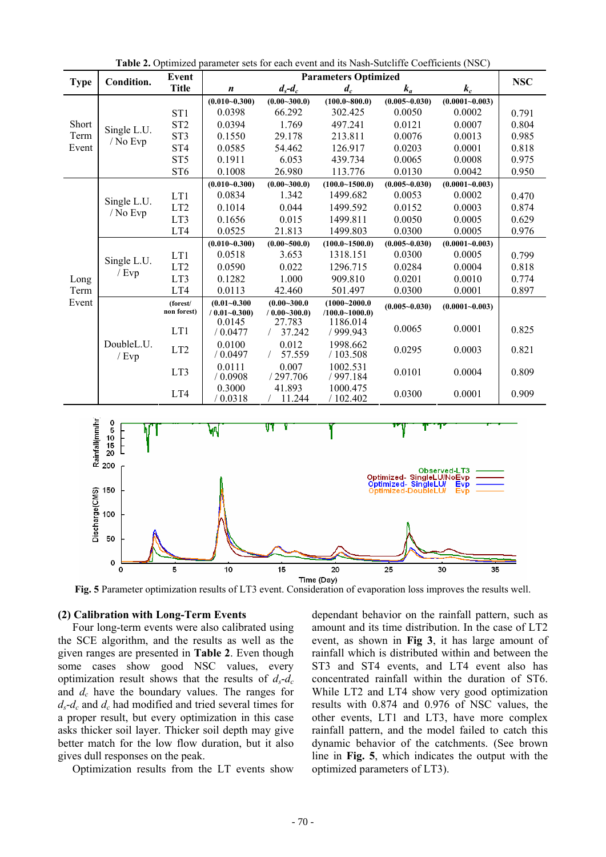|                        |                                 | Event           | radic 2. Optimized parameter sets for each event and no rash butenine coemercing<br>いいし<br><b>Parameters Optimized</b> |                  |                      |                   |                    |            |
|------------------------|---------------------------------|-----------------|------------------------------------------------------------------------------------------------------------------------|------------------|----------------------|-------------------|--------------------|------------|
| <b>Type</b>            | Condition.                      | <b>Title</b>    | $\boldsymbol{n}$                                                                                                       | $d_s - d_c$      | $d_c$<br>$k_a$       |                   | $k_c$              | <b>NSC</b> |
| Short<br>Term<br>Event |                                 |                 | $(0.010 - 0.300)$                                                                                                      | $(0.00 - 300.0)$ | $(100.0 - 800.0)$    | $(0.005 - 0.030)$ | $(0.0001 - 0.003)$ |            |
|                        |                                 | ST <sub>1</sub> | 0.0398                                                                                                                 | 66.292           | 302.425              | 0.0050            | 0.0002             | 0.791      |
|                        |                                 | ST <sub>2</sub> | 0.0394                                                                                                                 | 1.769            | 497.241              | 0.0121            | 0.0007             | 0.804      |
|                        | Single L.U.<br>/ No Evp         | ST <sub>3</sub> | 0.1550                                                                                                                 | 29.178           | 213.811              | 0.0076            | 0.0013             | 0.985      |
|                        |                                 | ST <sub>4</sub> | 0.0585                                                                                                                 | 54.462           | 126.917              | 0.0203            | 0.0001             | 0.818      |
|                        |                                 | ST <sub>5</sub> | 0.1911                                                                                                                 | 6.053            | 439.734              | 0.0065            | 0.0008             | 0.975      |
|                        |                                 | ST <sub>6</sub> | 0.1008                                                                                                                 | 26.980           | 113.776              | 0.0130            | 0.0042             | 0.950      |
|                        | Single L.U.                     |                 | $(0.010 - 0.300)$                                                                                                      | $(0.00 - 300.0)$ | $(100.0 - 1500.0)$   | $(0.005 - 0.030)$ | $(0.0001 - 0.003)$ |            |
|                        |                                 | LT1             | 0.0834                                                                                                                 | 1.342            | 1499.682             | 0.0053            | 0.0002             | 0.470      |
|                        |                                 | LT <sub>2</sub> | 0.1014                                                                                                                 | 0.044            | 1499.592             | 0.0152            | 0.0003             | 0.874      |
|                        | / No Evp                        | LT3             | 0.1656                                                                                                                 | 0.015            | 1499.811             | 0.0050            | 0.0005             | 0.629      |
|                        |                                 | LT4             | 0.0525                                                                                                                 | 21.813           | 1499.803             | 0.0300            | 0.0005             | 0.976      |
|                        |                                 |                 | $(0.010 - 0.300)$                                                                                                      | $(0.00 - 500.0)$ | (100.0~1500.0)       | $(0.005 - 0.030)$ | $(0.0001 - 0.003)$ |            |
|                        |                                 | LT1             | 0.0518                                                                                                                 | 3.653            | 1318.151             | 0.0300            | 0.0005             | 0.799      |
|                        | Single L.U.                     | LT <sub>2</sub> | 0.0590                                                                                                                 | 0.022            | 1296.715             | 0.0284            | 0.0004             | 0.818      |
| Long<br>Term           | $\overline{E}$ Evp              | LT3             | 0.1282                                                                                                                 | 1.000            | 909.810              | 0.0201            | 0.0010             | 0.774      |
|                        |                                 | LT4             | 0.0113                                                                                                                 | 42.460           | 501.497              | 0.0300            | 0.0001             | 0.897      |
| Event                  | DoubleL.U.<br>$/$ Evp           | (forest/        | $(0.01 - 0.300)$                                                                                                       | $(0.00 - 300.0$  | $(1000 - 2000.0$     | $(0.005 - 0.030)$ | $(0.0001 - 0.003)$ |            |
|                        |                                 | non forest)     | $(0.01 - 0.300)$                                                                                                       | $(0.00 - 300.0)$ | $(100.0 - 1000.0)$   |                   |                    |            |
|                        |                                 | LT1             | 0.0145<br>/ 0.0477                                                                                                     | 27.783<br>37.242 | 1186.014<br>/999.943 | 0.0065            | 0.0001             | 0.825      |
|                        |                                 |                 | 0.0100                                                                                                                 | 0.012            | 1998.662             |                   |                    |            |
|                        |                                 | LT <sub>2</sub> | / 0.0497                                                                                                               | 57.559           | /103.508             | 0.0295            | 0.0003             | 0.821      |
|                        |                                 |                 | 0.0111                                                                                                                 | 0.007            | 1002.531             |                   |                    |            |
|                        |                                 | LT3             | / 0.0908                                                                                                               | /297.706         | /997.184             | 0.0101            | 0.0004             | 0.809      |
|                        |                                 | LT4             | 0.3000                                                                                                                 | 41.893           | 1000.475             | 0.0300            | 0.0001             | 0.909      |
|                        |                                 |                 | / 0.0318                                                                                                               | 11.244           | /102.402             |                   |                    |            |
|                        |                                 |                 |                                                                                                                        |                  |                      |                   |                    |            |
|                        | Rainfall(mm/hr<br>20<br>20<br>0 |                 | ₩                                                                                                                      | V T              |                      |                   |                    |            |
|                        |                                 |                 |                                                                                                                        |                  |                      |                   |                    |            |
|                        |                                 |                 |                                                                                                                        |                  |                      |                   |                    |            |
|                        |                                 |                 |                                                                                                                        |                  |                      |                   |                    |            |
|                        |                                 |                 | Observed-LT3<br>Optimized-SingleLU/NoEvp<br>Optimized-SingleLU/J Evp                                                   |                  |                      |                   |                    |            |
|                        | 150                             |                 | Optimized-DoubleLU/<br>Evp                                                                                             |                  |                      |                   |                    |            |
|                        |                                 |                 |                                                                                                                        |                  |                      |                   |                    |            |
|                        | 100                             |                 |                                                                                                                        |                  |                      |                   |                    |            |
|                        |                                 |                 |                                                                                                                        |                  |                      |                   |                    |            |
| Discharge(CMS)         | 50                              |                 |                                                                                                                        |                  |                      |                   |                    |            |
|                        |                                 |                 |                                                                                                                        |                  |                      |                   |                    |            |
|                        | 0                               |                 |                                                                                                                        |                  |                      |                   |                    |            |
|                        | n                               | Б               | 10                                                                                                                     | 15               | 20                   | 25                | 30<br>35           |            |

**Table 2.** Optimized parameter sets for each event and its Nash-Sutcliffe Coefficients (NSC)

Time (Day) **Fig. 5** Parameter optimization results of LT3 event. Consideration of evaporation loss improves the results well.

## **(2) Calibration with Long-Term Events**

Four long-term events were also calibrated using the SCE algorithm, and the results as well as the given ranges are presented in **Table 2**. Even though some cases show good NSC values, every optimization result shows that the results of  $d_s - d_c$ and *dc* have the boundary values. The ranges for *ds*-*dc* and *dc* had modified and tried several times for a proper result, but every optimization in this case asks thicker soil layer. Thicker soil depth may give better match for the low flow duration, but it also gives dull responses on the peak.

Optimization results from the LT events show

dependant behavior on the rainfall pattern, such as amount and its time distribution. In the case of LT2 event, as shown in **Fig 3**, it has large amount of rainfall which is distributed within and between the ST3 and ST4 events, and LT4 event also has concentrated rainfall within the duration of ST6. While LT2 and LT4 show very good optimization results with 0.874 and 0.976 of NSC values, the other events, LT1 and LT3, have more complex rainfall pattern, and the model failed to catch this dynamic behavior of the catchments. (See brown line in **Fig. 5**, which indicates the output with the optimized parameters of LT3).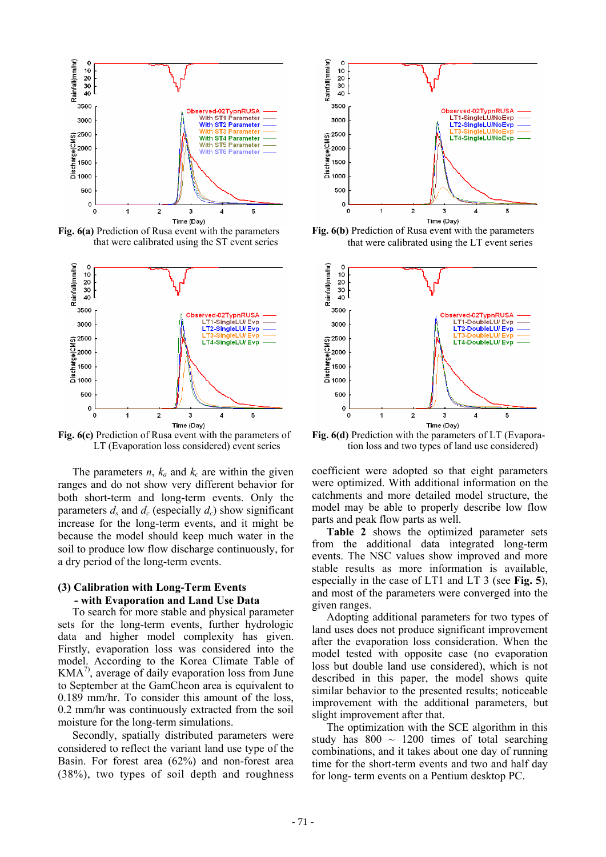

**Fig. 6(a)** Prediction of Rusa event with the parameters that were calibrated using the ST event series



**Fig. 6(c)** Prediction of Rusa event with the parameters of LT (Evaporation loss considered) event series

The parameters  $n$ ,  $k_a$  and  $k_c$  are within the given ranges and do not show very different behavior for both short-term and long-term events. Only the parameters  $d_s$  and  $d_c$  (especially  $d_c$ ) show significant increase for the long-term events, and it might be because the model should keep much water in the soil to produce low flow discharge continuously, for a dry period of the long-term events.

#### **(3) Calibration with Long-Term Events - with Evaporation and Land Use Data**

To search for more stable and physical parameter sets for the long-term events, further hydrologic data and higher model complexity has given. Firstly, evaporation loss was considered into the model. According to the Korea Climate Table of  $KMA<sup>7</sup>$ , average of daily evaporation loss from June to September at the GamCheon area is equivalent to 0.189 mm/hr. To consider this amount of the loss, 0.2 mm/hr was continuously extracted from the soil moisture for the long-term simulations.

Secondly, spatially distributed parameters were considered to reflect the variant land use type of the Basin. For forest area (62%) and non-forest area (38%), two types of soil depth and roughness



**Fig. 6(b)** Prediction of Rusa event with the parameters that were calibrated using the LT event series



**Fig. 6(d)** Prediction with the parameters of LT (Evapora tion loss and two types of land use considered)

coefficient were adopted so that eight parameters were optimized. With additional information on the catchments and more detailed model structure, the model may be able to properly describe low flow parts and peak flow parts as well.

**Table 2** shows the optimized parameter sets from the additional data integrated long-term events. The NSC values show improved and more stable results as more information is available, especially in the case of LT1 and LT 3 (see **Fig. 5**), and most of the parameters were converged into the given ranges.

Adopting additional parameters for two types of land uses does not produce significant improvement after the evaporation loss consideration. When the model tested with opposite case (no evaporation loss but double land use considered), which is not described in this paper, the model shows quite similar behavior to the presented results; noticeable improvement with the additional parameters, but slight improvement after that.

The optimization with the SCE algorithm in this study has  $800 \sim 1200$  times of total searching combinations, and it takes about one day of running time for the short-term events and two and half day for long- term events on a Pentium desktop PC.